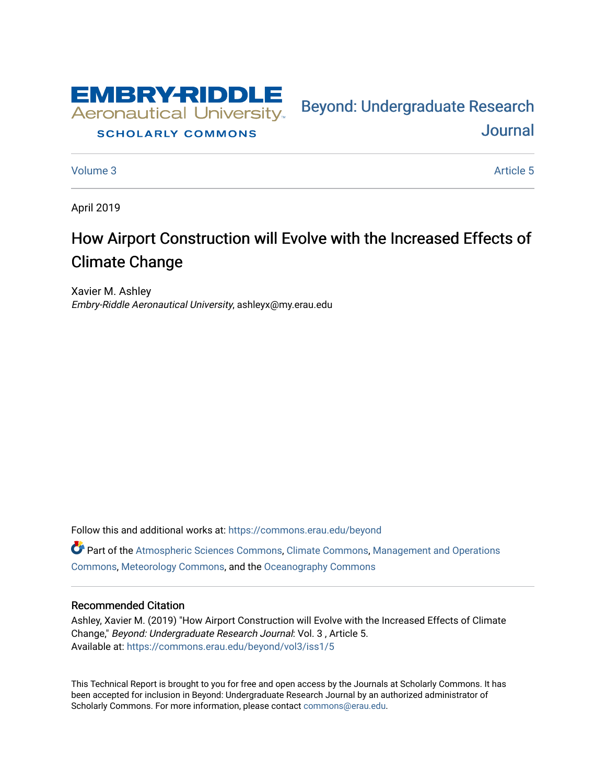

#### **SCHOLARLY COMMONS**

[Journal](https://commons.erau.edu/beyond) 

Bey[ond: Undergraduate Resear](https://commons.erau.edu/beyond)ch

[Volume 3](https://commons.erau.edu/beyond/vol3) Article 5

April 2019

# How Airport Construction will Evolve with the Increased Effects of Climate Change

Xavier M. Ashley Embry-Riddle Aeronautical University, ashleyx@my.erau.edu

Follow this and additional works at: [https://commons.erau.edu/beyond](https://commons.erau.edu/beyond?utm_source=commons.erau.edu%2Fbeyond%2Fvol3%2Fiss1%2F5&utm_medium=PDF&utm_campaign=PDFCoverPages)  Part of the [Atmospheric Sciences Commons](http://network.bepress.com/hgg/discipline/187?utm_source=commons.erau.edu%2Fbeyond%2Fvol3%2Fiss1%2F5&utm_medium=PDF&utm_campaign=PDFCoverPages), [Climate Commons](http://network.bepress.com/hgg/discipline/188?utm_source=commons.erau.edu%2Fbeyond%2Fvol3%2Fiss1%2F5&utm_medium=PDF&utm_campaign=PDFCoverPages), [Management and Operations](http://network.bepress.com/hgg/discipline/1311?utm_source=commons.erau.edu%2Fbeyond%2Fvol3%2Fiss1%2F5&utm_medium=PDF&utm_campaign=PDFCoverPages)  [Commons](http://network.bepress.com/hgg/discipline/1311?utm_source=commons.erau.edu%2Fbeyond%2Fvol3%2Fiss1%2F5&utm_medium=PDF&utm_campaign=PDFCoverPages), [Meteorology Commons,](http://network.bepress.com/hgg/discipline/190?utm_source=commons.erau.edu%2Fbeyond%2Fvol3%2Fiss1%2F5&utm_medium=PDF&utm_campaign=PDFCoverPages) and the [Oceanography Commons](http://network.bepress.com/hgg/discipline/191?utm_source=commons.erau.edu%2Fbeyond%2Fvol3%2Fiss1%2F5&utm_medium=PDF&utm_campaign=PDFCoverPages) 

#### Recommended Citation

Ashley, Xavier M. (2019) "How Airport Construction will Evolve with the Increased Effects of Climate Change," Beyond: Undergraduate Research Journal: Vol. 3 , Article 5. Available at: [https://commons.erau.edu/beyond/vol3/iss1/5](https://commons.erau.edu/beyond/vol3/iss1/5?utm_source=commons.erau.edu%2Fbeyond%2Fvol3%2Fiss1%2F5&utm_medium=PDF&utm_campaign=PDFCoverPages) 

This Technical Report is brought to you for free and open access by the Journals at Scholarly Commons. It has been accepted for inclusion in Beyond: Undergraduate Research Journal by an authorized administrator of Scholarly Commons. For more information, please contact [commons@erau.edu.](mailto:commons@erau.edu)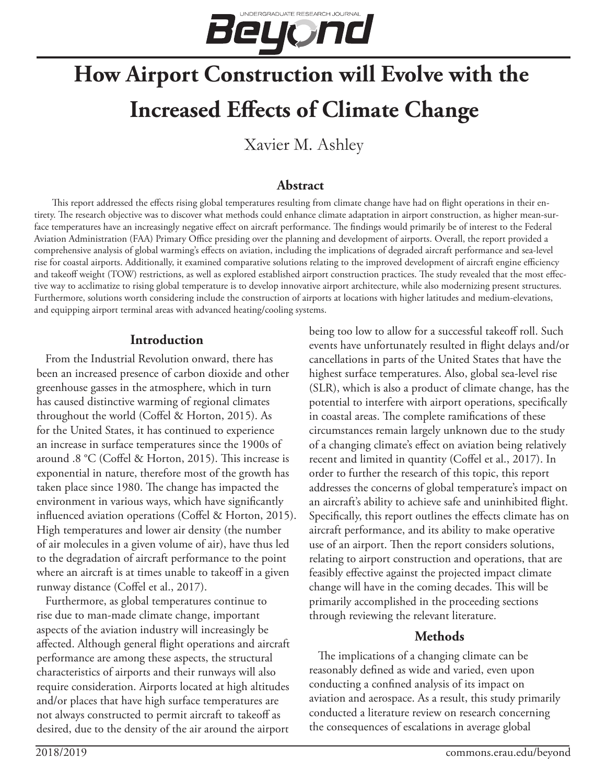

# **How Airport Construction will Evolve with the Increased Effects of Climate Change**

Xavier M. Ashley

## **Abstract**

This report addressed the effects rising global temperatures resulting from climate change have had on flight operations in their entirety. The research objective was to discover what methods could enhance climate adaptation in airport construction, as higher mean-surface temperatures have an increasingly negative effect on aircraft performance. The findings would primarily be of interest to the Federal Aviation Administration (FAA) Primary Office presiding over the planning and development of airports. Overall, the report provided a comprehensive analysis of global warming's effects on aviation, including the implications of degraded aircraft performance and sea-level rise for coastal airports. Additionally, it examined comparative solutions relating to the improved development of aircraft engine efficiency and takeoff weight (TOW) restrictions, as well as explored established airport construction practices. The study revealed that the most effective way to acclimatize to rising global temperature is to develop innovative airport architecture, while also modernizing present structures. Furthermore, solutions worth considering include the construction of airports at locations with higher latitudes and medium-elevations, and equipping airport terminal areas with advanced heating/cooling systems.

#### **Introduction**

From the Industrial Revolution onward, there has been an increased presence of carbon dioxide and other greenhouse gasses in the atmosphere, which in turn has caused distinctive warming of regional climates throughout the world (Coffel & Horton, 2015). As for the United States, it has continued to experience an increase in surface temperatures since the 1900s of around .8 °C (Coffel & Horton, 2015). This increase is exponential in nature, therefore most of the growth has taken place since 1980. The change has impacted the environment in various ways, which have significantly influenced aviation operations (Coffel & Horton, 2015). High temperatures and lower air density (the number of air molecules in a given volume of air), have thus led to the degradation of aircraft performance to the point where an aircraft is at times unable to takeoff in a given runway distance (Coffel et al., 2017).

Furthermore, as global temperatures continue to rise due to man-made climate change, important aspects of the aviation industry will increasingly be affected. Although general flight operations and aircraft performance are among these aspects, the structural characteristics of airports and their runways will also require consideration. Airports located at high altitudes and/or places that have high surface temperatures are not always constructed to permit aircraft to takeoff as desired, due to the density of the air around the airport

being too low to allow for a successful takeoff roll. Such events have unfortunately resulted in flight delays and/or cancellations in parts of the United States that have the highest surface temperatures. Also, global sea-level rise (SLR), which is also a product of climate change, has the potential to interfere with airport operations, specifically in coastal areas. The complete ramifications of these circumstances remain largely unknown due to the study of a changing climate's effect on aviation being relatively recent and limited in quantity (Coffel et al., 2017). In order to further the research of this topic, this report addresses the concerns of global temperature's impact on an aircraft's ability to achieve safe and uninhibited flight. Specifically, this report outlines the effects climate has on aircraft performance, and its ability to make operative use of an airport. Then the report considers solutions, relating to airport construction and operations, that are feasibly effective against the projected impact climate change will have in the coming decades. This will be primarily accomplished in the proceeding sections through reviewing the relevant literature.

# **Methods**

The implications of a changing climate can be reasonably defined as wide and varied, even upon conducting a confined analysis of its impact on aviation and aerospace. As a result, this study primarily conducted a literature review on research concerning the consequences of escalations in average global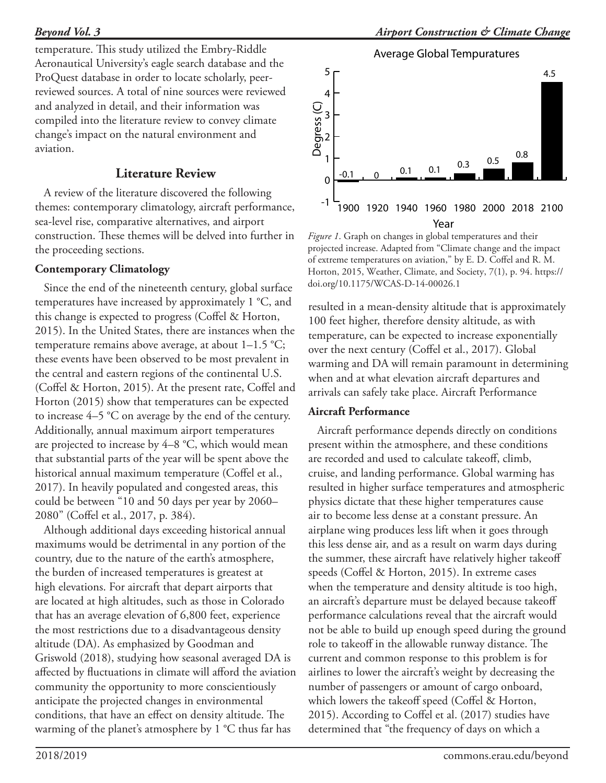temperature. This study utilized the Embry-Riddle Aeronautical University's eagle search database and the ProQuest database in order to locate scholarly, peerreviewed sources. A total of nine sources were reviewed and analyzed in detail, and their information was compiled into the literature review to convey climate change's impact on the natural environment and aviation.

# **Literature Review**

A review of the literature discovered the following themes: contemporary climatology, aircraft performance, sea-level rise, comparative alternatives, and airport construction. These themes will be delved into further in the proceeding sections.

## **Contemporary Climatology**

Since the end of the nineteenth century, global surface temperatures have increased by approximately 1 °C, and this change is expected to progress (Coffel & Horton, 2015). In the United States, there are instances when the temperature remains above average, at about 1–1.5 °C; these events have been observed to be most prevalent in the central and eastern regions of the continental U.S. (Coffel & Horton, 2015). At the present rate, Coffel and Horton (2015) show that temperatures can be expected to increase 4–5 °C on average by the end of the century. Additionally, annual maximum airport temperatures are projected to increase by 4–8 °C, which would mean that substantial parts of the year will be spent above the historical annual maximum temperature (Coffel et al., 2017). In heavily populated and congested areas, this could be between "10 and 50 days per year by 2060– 2080" (Coffel et al., 2017, p. 384).

Although additional days exceeding historical annual maximums would be detrimental in any portion of the country, due to the nature of the earth's atmosphere, the burden of increased temperatures is greatest at high elevations. For aircraft that depart airports that are located at high altitudes, such as those in Colorado that has an average elevation of 6,800 feet, experience the most restrictions due to a disadvantageous density altitude (DA). As emphasized by Goodman and Griswold (2018), studying how seasonal averaged DA is affected by fluctuations in climate will afford the aviation community the opportunity to more conscientiously anticipate the projected changes in environmental conditions, that have an effect on density altitude. The warming of the planet's atmosphere by 1 °C thus far has



*Figure 1*. Graph on changes in global temperatures and their projected increase. Adapted from "Climate change and the impact of extreme temperatures on aviation," by E. D. Coffel and R. M. Horton, 2015, Weather, Climate, and Society, 7(1), p. 94. https:// doi.org/10.1175/WCAS-D-14-00026.1

resulted in a mean-density altitude that is approximately 100 feet higher, therefore density altitude, as with temperature, can be expected to increase exponentially over the next century (Coffel et al., 2017). Global warming and DA will remain paramount in determining when and at what elevation aircraft departures and arrivals can safely take place. Aircraft Performance

#### **Aircraft Performance**

Aircraft performance depends directly on conditions present within the atmosphere, and these conditions are recorded and used to calculate takeoff, climb, cruise, and landing performance. Global warming has resulted in higher surface temperatures and atmospheric physics dictate that these higher temperatures cause air to become less dense at a constant pressure. An airplane wing produces less lift when it goes through this less dense air, and as a result on warm days during the summer, these aircraft have relatively higher takeoff speeds (Coffel & Horton, 2015). In extreme cases when the temperature and density altitude is too high, an aircraft's departure must be delayed because takeoff performance calculations reveal that the aircraft would not be able to build up enough speed during the ground role to takeoff in the allowable runway distance. The current and common response to this problem is for airlines to lower the aircraft's weight by decreasing the number of passengers or amount of cargo onboard, which lowers the takeoff speed (Coffel & Horton, 2015). According to Coffel et al. (2017) studies have determined that "the frequency of days on which a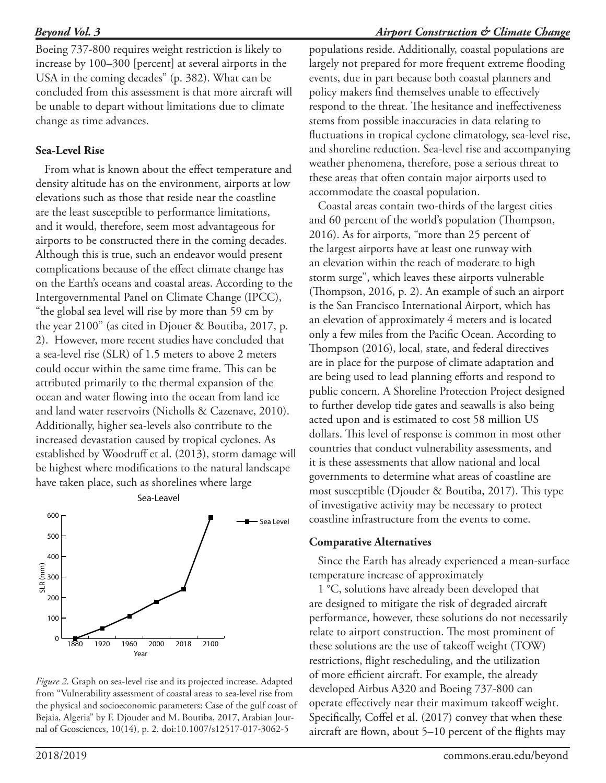Boeing 737-800 requires weight restriction is likely to increase by 100–300 [percent] at several airports in the USA in the coming decades" (p. 382). What can be concluded from this assessment is that more aircraft will be unable to depart without limitations due to climate change as time advances.

#### **Sea-Level Rise**

From what is known about the effect temperature and density altitude has on the environment, airports at low elevations such as those that reside near the coastline are the least susceptible to performance limitations, and it would, therefore, seem most advantageous for airports to be constructed there in the coming decades. Although this is true, such an endeavor would present complications because of the effect climate change has on the Earth's oceans and coastal areas. According to the Intergovernmental Panel on Climate Change (IPCC), "the global sea level will rise by more than 59 cm by the year 2100" (as cited in Djouer & Boutiba, 2017, p. 2). However, more recent studies have concluded that a sea-level rise (SLR) of 1.5 meters to above 2 meters could occur within the same time frame. This can be attributed primarily to the thermal expansion of the ocean and water flowing into the ocean from land ice and land water reservoirs (Nicholls & Cazenave, 2010). Additionally, higher sea-levels also contribute to the increased devastation caused by tropical cyclones. As established by Woodruff et al. (2013), storm damage will be highest where modifications to the natural landscape have taken place, such as shorelines where large



*Figure 2*. Graph on sea-level rise and its projected increase. Adapted from "Vulnerability assessment of coastal areas to sea-level rise from the physical and socioeconomic parameters: Case of the gulf coast of Bejaia, Algeria" by F. Djouder and M. Boutiba, 2017, Arabian Journal of Geosciences, 10(14), p. 2. doi:10.1007/s12517-017-3062-5

populations reside. Additionally, coastal populations are largely not prepared for more frequent extreme flooding events, due in part because both coastal planners and policy makers find themselves unable to effectively respond to the threat. The hesitance and ineffectiveness stems from possible inaccuracies in data relating to fluctuations in tropical cyclone climatology, sea-level rise, and shoreline reduction. Sea-level rise and accompanying weather phenomena, therefore, pose a serious threat to these areas that often contain major airports used to accommodate the coastal population.

Coastal areas contain two-thirds of the largest cities and 60 percent of the world's population (Thompson, 2016). As for airports, "more than 25 percent of the largest airports have at least one runway with an elevation within the reach of moderate to high storm surge", which leaves these airports vulnerable (Thompson, 2016, p. 2). An example of such an airport is the San Francisco International Airport, which has an elevation of approximately 4 meters and is located only a few miles from the Pacific Ocean. According to Thompson (2016), local, state, and federal directives are in place for the purpose of climate adaptation and are being used to lead planning efforts and respond to public concern. A Shoreline Protection Project designed to further develop tide gates and seawalls is also being acted upon and is estimated to cost 58 million US dollars. This level of response is common in most other countries that conduct vulnerability assessments, and it is these assessments that allow national and local governments to determine what areas of coastline are most susceptible (Djouder & Boutiba, 2017). This type of investigative activity may be necessary to protect coastline infrastructure from the events to come.

#### **Comparative Alternatives**

Since the Earth has already experienced a mean-surface temperature increase of approximately

1 °C, solutions have already been developed that are designed to mitigate the risk of degraded aircraft performance, however, these solutions do not necessarily relate to airport construction. The most prominent of these solutions are the use of takeoff weight (TOW) restrictions, flight rescheduling, and the utilization of more efficient aircraft. For example, the already developed Airbus A320 and Boeing 737-800 can operate effectively near their maximum takeoff weight. Specifically, Coffel et al. (2017) convey that when these aircraft are flown, about 5–10 percent of the flights may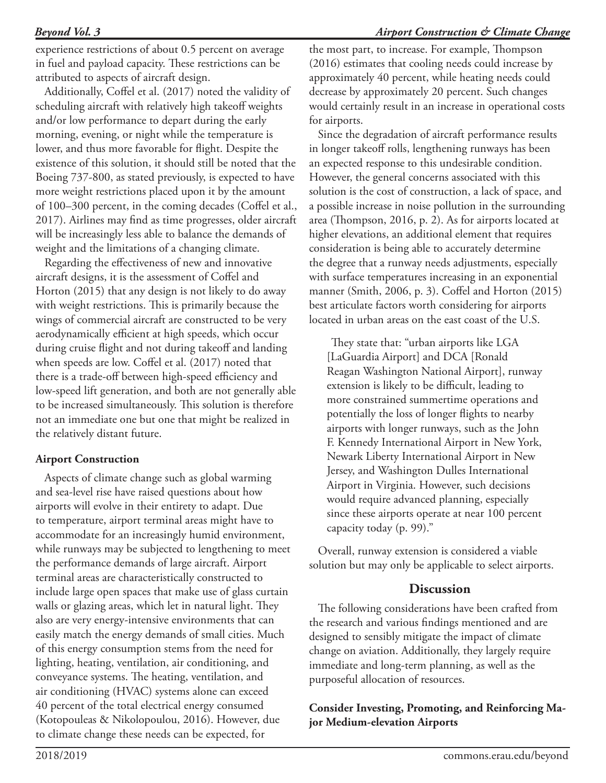experience restrictions of about 0.5 percent on average in fuel and payload capacity. These restrictions can be attributed to aspects of aircraft design.

Additionally, Coffel et al. (2017) noted the validity of scheduling aircraft with relatively high takeoff weights and/or low performance to depart during the early morning, evening, or night while the temperature is lower, and thus more favorable for flight. Despite the existence of this solution, it should still be noted that the Boeing 737-800, as stated previously, is expected to have more weight restrictions placed upon it by the amount of 100–300 percent, in the coming decades (Coffel et al., 2017). Airlines may find as time progresses, older aircraft will be increasingly less able to balance the demands of weight and the limitations of a changing climate.

Regarding the effectiveness of new and innovative aircraft designs, it is the assessment of Coffel and Horton (2015) that any design is not likely to do away with weight restrictions. This is primarily because the wings of commercial aircraft are constructed to be very aerodynamically efficient at high speeds, which occur during cruise flight and not during takeoff and landing when speeds are low. Coffel et al. (2017) noted that there is a trade-off between high-speed efficiency and low-speed lift generation, and both are not generally able to be increased simultaneously. This solution is therefore not an immediate one but one that might be realized in the relatively distant future.

#### **Airport Construction**

Aspects of climate change such as global warming and sea-level rise have raised questions about how airports will evolve in their entirety to adapt. Due to temperature, airport terminal areas might have to accommodate for an increasingly humid environment, while runways may be subjected to lengthening to meet the performance demands of large aircraft. Airport terminal areas are characteristically constructed to include large open spaces that make use of glass curtain walls or glazing areas, which let in natural light. They also are very energy-intensive environments that can easily match the energy demands of small cities. Much of this energy consumption stems from the need for lighting, heating, ventilation, air conditioning, and conveyance systems. The heating, ventilation, and air conditioning (HVAC) systems alone can exceed 40 percent of the total electrical energy consumed (Kotopouleas & Nikolopoulou, 2016). However, due to climate change these needs can be expected, for

the most part, to increase. For example, Thompson (2016) estimates that cooling needs could increase by approximately 40 percent, while heating needs could decrease by approximately 20 percent. Such changes would certainly result in an increase in operational costs for airports.

Since the degradation of aircraft performance results in longer takeoff rolls, lengthening runways has been an expected response to this undesirable condition. However, the general concerns associated with this solution is the cost of construction, a lack of space, and a possible increase in noise pollution in the surrounding area (Thompson, 2016, p. 2). As for airports located at higher elevations, an additional element that requires consideration is being able to accurately determine the degree that a runway needs adjustments, especially with surface temperatures increasing in an exponential manner (Smith, 2006, p. 3). Coffel and Horton (2015) best articulate factors worth considering for airports located in urban areas on the east coast of the U.S.

They state that: "urban airports like LGA [LaGuardia Airport] and DCA [Ronald Reagan Washington National Airport], runway extension is likely to be difficult, leading to more constrained summertime operations and potentially the loss of longer flights to nearby airports with longer runways, such as the John F. Kennedy International Airport in New York, Newark Liberty International Airport in New Jersey, and Washington Dulles International Airport in Virginia. However, such decisions would require advanced planning, especially since these airports operate at near 100 percent capacity today (p. 99)."

Overall, runway extension is considered a viable solution but may only be applicable to select airports.

#### **Discussion**

The following considerations have been crafted from the research and various findings mentioned and are designed to sensibly mitigate the impact of climate change on aviation. Additionally, they largely require immediate and long-term planning, as well as the purposeful allocation of resources.

#### **Consider Investing, Promoting, and Reinforcing Major Medium-elevation Airports**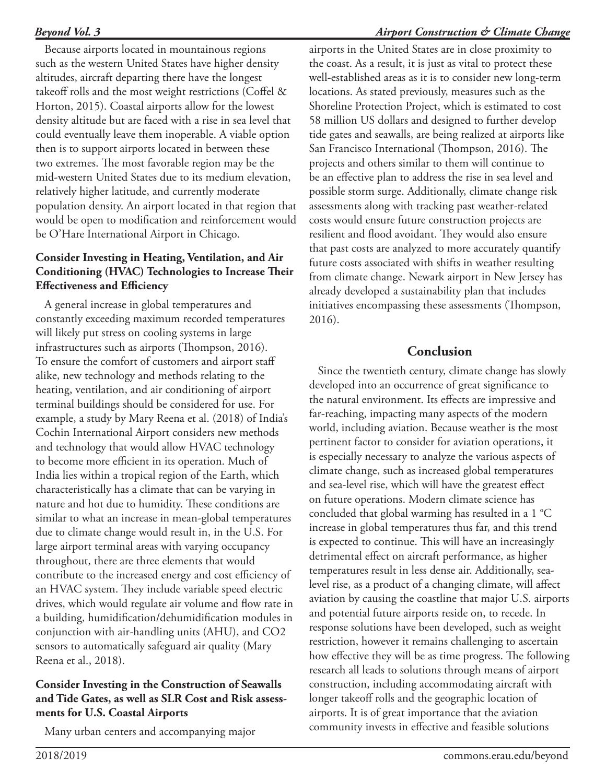#### *Airport Construction & Climate Change*

Because airports located in mountainous regions such as the western United States have higher density altitudes, aircraft departing there have the longest takeoff rolls and the most weight restrictions (Coffel & Horton, 2015). Coastal airports allow for the lowest density altitude but are faced with a rise in sea level that could eventually leave them inoperable. A viable option then is to support airports located in between these two extremes. The most favorable region may be the mid-western United States due to its medium elevation, relatively higher latitude, and currently moderate population density. An airport located in that region that would be open to modification and reinforcement would be O'Hare International Airport in Chicago.

## **Consider Investing in Heating, Ventilation, and Air Conditioning (HVAC) Technologies to Increase Their Effectiveness and Efficiency**

A general increase in global temperatures and constantly exceeding maximum recorded temperatures will likely put stress on cooling systems in large infrastructures such as airports (Thompson, 2016). To ensure the comfort of customers and airport staff alike, new technology and methods relating to the heating, ventilation, and air conditioning of airport terminal buildings should be considered for use. For example, a study by Mary Reena et al. (2018) of India's Cochin International Airport considers new methods and technology that would allow HVAC technology to become more efficient in its operation. Much of India lies within a tropical region of the Earth, which characteristically has a climate that can be varying in nature and hot due to humidity. These conditions are similar to what an increase in mean-global temperatures due to climate change would result in, in the U.S. For large airport terminal areas with varying occupancy throughout, there are three elements that would contribute to the increased energy and cost efficiency of an HVAC system. They include variable speed electric drives, which would regulate air volume and flow rate in a building, humidification/dehumidification modules in conjunction with air-handling units (AHU), and CO2 sensors to automatically safeguard air quality (Mary Reena et al., 2018).

#### **Consider Investing in the Construction of Seawalls and Tide Gates, as well as SLR Cost and Risk assessments for U.S. Coastal Airports**

Many urban centers and accompanying major

airports in the United States are in close proximity to the coast. As a result, it is just as vital to protect these well-established areas as it is to consider new long-term locations. As stated previously, measures such as the Shoreline Protection Project, which is estimated to cost 58 million US dollars and designed to further develop tide gates and seawalls, are being realized at airports like San Francisco International (Thompson, 2016). The projects and others similar to them will continue to be an effective plan to address the rise in sea level and possible storm surge. Additionally, climate change risk assessments along with tracking past weather-related costs would ensure future construction projects are resilient and flood avoidant. They would also ensure that past costs are analyzed to more accurately quantify future costs associated with shifts in weather resulting from climate change. Newark airport in New Jersey has already developed a sustainability plan that includes initiatives encompassing these assessments (Thompson, 2016).

# **Conclusion**

Since the twentieth century, climate change has slowly developed into an occurrence of great significance to the natural environment. Its effects are impressive and far-reaching, impacting many aspects of the modern world, including aviation. Because weather is the most pertinent factor to consider for aviation operations, it is especially necessary to analyze the various aspects of climate change, such as increased global temperatures and sea-level rise, which will have the greatest effect on future operations. Modern climate science has concluded that global warming has resulted in a 1 °C increase in global temperatures thus far, and this trend is expected to continue. This will have an increasingly detrimental effect on aircraft performance, as higher temperatures result in less dense air. Additionally, sealevel rise, as a product of a changing climate, will affect aviation by causing the coastline that major U.S. airports and potential future airports reside on, to recede. In response solutions have been developed, such as weight restriction, however it remains challenging to ascertain how effective they will be as time progress. The following research all leads to solutions through means of airport construction, including accommodating aircraft with longer takeoff rolls and the geographic location of airports. It is of great importance that the aviation community invests in effective and feasible solutions